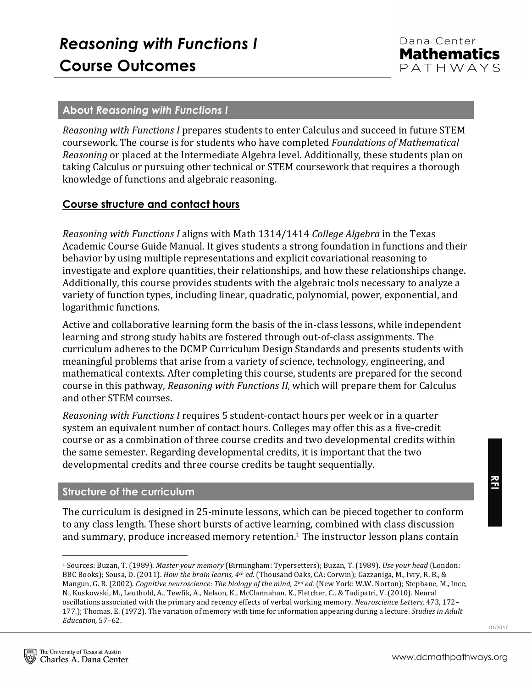#### **About** *Reasoning with Functions I*

*Reasoning with Functions I* prepares students to enter Calculus and succeed in future STEM coursework. The course is for students who have completed *Foundations of Mathematical Reasoning* or placed at the Intermediate Algebra level. Additionally, these students plan on taking Calculus or pursuing other technical or STEM coursework that requires a thorough knowledge of functions and algebraic reasoning.

### **Course structure and contact hours**

*Reasoning with Functions I* aligns with Math 1314/1414 *College Algebra* in the Texas Academic Course Guide Manual. It gives students a strong foundation in functions and their behavior by using multiple representations and explicit covariational reasoning to investigate and explore quantities, their relationships, and how these relationships change. Additionally, this course provides students with the algebraic tools necessary to analyze a variety of function types, including linear, quadratic, polynomial, power, exponential, and logarithmic functions.

Active and collaborative learning form the basis of the in-class lessons, while independent learning and strong study habits are fostered through out-of-class assignments. The curriculum adheres to the DCMP Curriculum Design Standards and presents students with meaningful problems that arise from a variety of science, technology, engineering, and mathematical contexts. After completing this course, students are prepared for the second course in this pathway, *Reasoning with Functions II*, which will prepare them for Calculus and other STEM courses.

*Reasoning with Functions I* requires 5 student-contact hours per week or in a quarter system an equivalent number of contact hours. Colleges may offer this as a five-credit course or as a combination of three course credits and two developmental credits within the same semester. Regarding developmental credits, it is important that the two developmental credits and three course credits be taught sequentially.

#### **Structure of the curriculum**

 

The curriculum is designed in 25-minute lessons, which can be pieced together to conform to any class length. These short bursts of active learning, combined with class discussion and summary, produce increased memory retention.<sup>1</sup> The instructor lesson plans contain

<sup>1</sup> Sources: Buzan, T. (1989). *Master your memory* (Birmingham: Typersetters); Buzan, T. (1989). *Use your head* (London: BBC Books); Sousa, D. (2011). *How the brain learns, 4<sup>th</sup> ed.* (Thousand Oaks, CA: Corwin); Gazzaniga, M., Ivry, R. B., & Mangun, G. R. (2002). *Cognitive neuroscience: The biology of the mind, 2<sup>nd</sup> ed.* (New York: W.W. Norton); Stephane, M., Ince, N., Kuskowski, M., Leuthold, A., Tewfik, A., Nelson, K., McClannahan, K., Fletcher, C., & Tadipatri, V. (2010). Neural oscillations associated with the primary and recency effects of verbal working memory. *Neuroscience Letters*, 473, 172-177.); Thomas, E. (1972). The variation of memory with time for information appearing during a lecture. *Studies in Adult Education,* 57–62.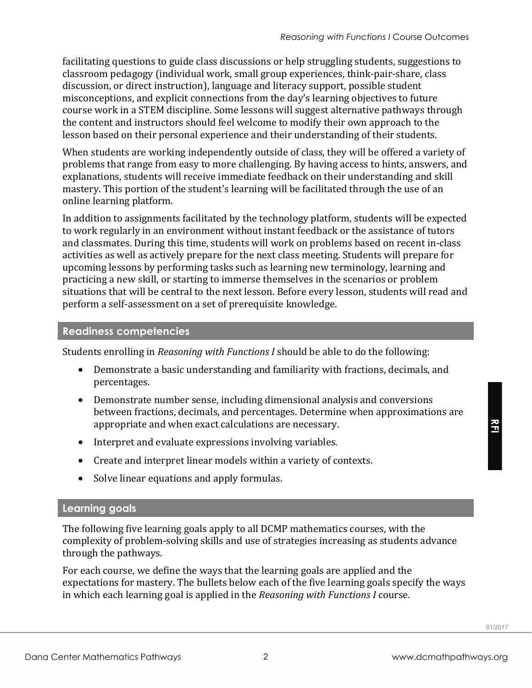facilitating questions to guide class discussions or help struggling students, suggestions to classroom pedagogy (individual work, small group experiences, think-pair-share, class discussion, or direct instruction), language and literacy support, possible student misconceptions, and explicit connections from the day's learning objectives to future course work in a STEM discipline. Some lessons will suggest alternative pathways through the content and instructors should feel welcome to modify their own approach to the lesson based on their personal experience and their understanding of their students.

When students are working independently outside of class, they will be offered a variety of problems that range from easy to more challenging. By having access to hints, answers, and explanations, students will receive immediate feedback on their understanding and skill mastery. This portion of the student's learning will be facilitated through the use of an online learning platform.

In addition to assignments facilitated by the technology platform, students will be expected to work regularly in an environment without instant feedback or the assistance of tutors and classmates. During this time, students will work on problems based on recent in-class activities as well as actively prepare for the next class meeting. Students will prepare for upcoming lessons by performing tasks such as learning new terminology, learning and practicing a new skill, or starting to immerse themselves in the scenarios or problem situations that will be central to the next lesson. Before every lesson, students will read and perform a self-assessment on a set of prerequisite knowledge.

# **Readiness competencies**

Students enrolling in *Reasoning with Functions I* should be able to do the following:

- Demonstrate a basic understanding and familiarity with fractions, decimals, and percentages.
- Demonstrate number sense, including dimensional analysis and conversions between fractions, decimals, and percentages. Determine when approximations are appropriate and when exact calculations are necessary.
- Interpret and evaluate expressions involving variables.
- Create and interpret linear models within a variety of contexts.
- Solve linear equations and apply formulas.

## **Learning goals**

The following five learning goals apply to all DCMP mathematics courses, with the complexity of problem-solving skills and use of strategies increasing as students advance through the pathways.

For each course, we define the ways that the learning goals are applied and the expectations for mastery. The bullets below each of the five learning goals specify the ways in which each learning goal is applied in the *Reasoning with Functions I* course.

**RFI**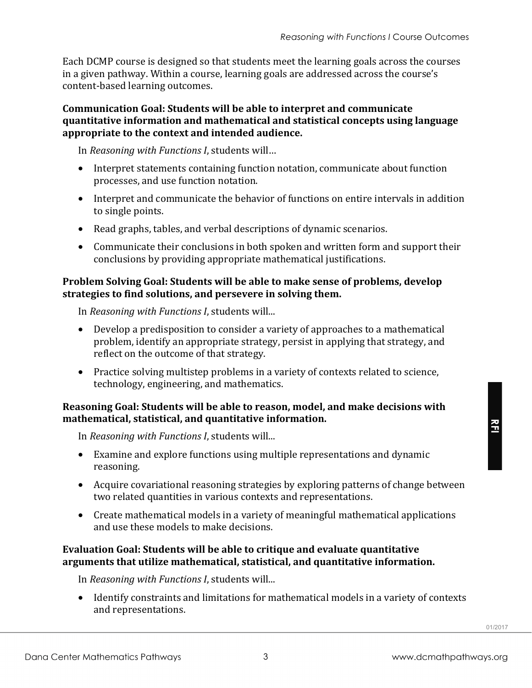Each DCMP course is designed so that students meet the learning goals across the courses in a given pathway. Within a course, learning goals are addressed across the course's content-based learning outcomes.

#### **Communication Goal: Students will be able to interpret and communicate quantitative information and mathematical and statistical concepts using language** appropriate to the context and intended audience.

In *Reasoning with Functions I*, students will...

- Interpret statements containing function notation, communicate about function processes, and use function notation.
- Interpret and communicate the behavior of functions on entire intervals in addition to single points.
- Read graphs, tables, and verbal descriptions of dynamic scenarios.
- Communicate their conclusions in both spoken and written form and support their conclusions by providing appropriate mathematical justifications.

#### **Problem Solving Goal: Students will be able to make sense of problems, develop** strategies to find solutions, and persevere in solving them.

In *Reasoning with Functions I*, students will...

- Develop a predisposition to consider a variety of approaches to a mathematical problem, identify an appropriate strategy, persist in applying that strategy, and reflect on the outcome of that strategy.
- Practice solving multistep problems in a variety of contexts related to science, technology, engineering, and mathematics.

### **Reasoning Goal: Students will be able to reason, model, and make decisions with mathematical, statistical, and quantitative information.**

In *Reasoning with Functions I*, students will...

- Examine and explore functions using multiple representations and dynamic reasoning.
- Acquire covariational reasoning strategies by exploring patterns of change between two related quantities in various contexts and representations.
- Create mathematical models in a variety of meaningful mathematical applications and use these models to make decisions.

### **Evaluation Goal: Students will be able to critique and evaluate quantitative** arguments that utilize mathematical, statistical, and quantitative information.

In *Reasoning with Functions I*, students will...

• Identify constraints and limitations for mathematical models in a variety of contexts and representations.

**RFI**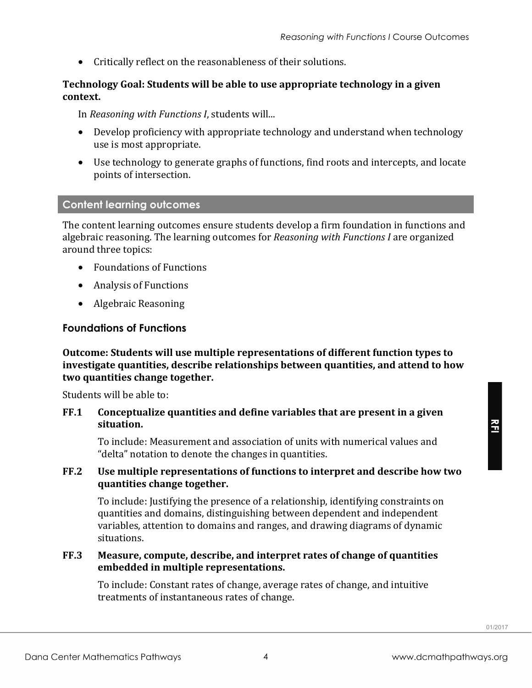• Critically reflect on the reasonableness of their solutions.

#### **Technology Goal: Students will be able to use appropriate technology in a given context.**

In *Reasoning with Functions I*, students will...

- Develop proficiency with appropriate technology and understand when technology use is most appropriate.
- Use technology to generate graphs of functions, find roots and intercepts, and locate points of intersection.

#### **Content learning outcomes**

The content learning outcomes ensure students develop a firm foundation in functions and algebraic reasoning. The learning outcomes for *Reasoning with Functions I* are organized around three topics:

- Foundations of Functions
- Analysis of Functions
- Algebraic Reasoning

#### **Foundations of Functions**

**Outcome: Students will use multiple representations of different function types to investigate quantities, describe relationships between quantities, and attend to how** two quantities change together.

Students will be able to:

**FF.1** Conceptualize quantities and define variables that are present in a given **situation.**

To include: Measurement and association of units with numerical values and "delta" notation to denote the changes in quantities.

#### **FF.2** Use multiple representations of functions to interpret and describe how two **quantities change together.**

To include: Justifying the presence of a relationship, identifying constraints on quantities and domains, distinguishing between dependent and independent variables, attention to domains and ranges, and drawing diagrams of dynamic situations.

#### **FF.3** Measure, compute, describe, and interpret rates of change of quantities **embedded in multiple representations.**

To include: Constant rates of change, average rates of change, and intuitive treatments of instantaneous rates of change.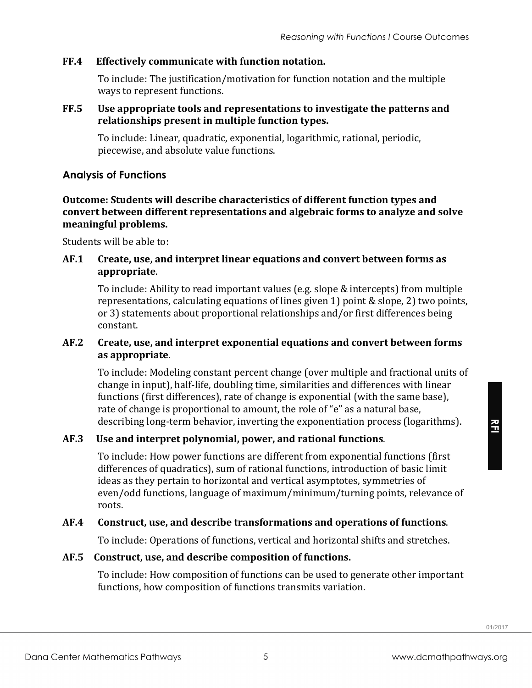## **FF.4** Effectively communicate with function notation.

To include: The justification/motivation for function notation and the multiple ways to represent functions.

#### **FF.5** Use appropriate tools and representations to investigate the patterns and relationships present in multiple function types.

To include: Linear, quadratic, exponential, logarithmic, rational, periodic, piecewise, and absolute value functions.

## **Analysis of Functions**

**Outcome: Students will describe characteristics of different function types and** convert between different representations and algebraic forms to analyze and solve meaningful problems.

Students will be able to:

### **AF.1** Create, use, and interpret linear equations and convert between forms as **appropriate**.

To include: Ability to read important values (e.g. slope & intercepts) from multiple representations, calculating equations of lines given 1) point & slope, 2) two points, or 3) statements about proportional relationships and/or first differences being constant.

### AF.2 Create, use, and interpret exponential equations and convert between forms **as appropriate**.

To include: Modeling constant percent change (over multiple and fractional units of change in input), half-life, doubling time, similarities and differences with linear functions (first differences), rate of change is exponential (with the same base), rate of change is proportional to amount, the role of "e" as a natural base, describing long-term behavior, inverting the exponentiation process (logarithms).

## AF.3 Use and interpret polynomial, power, and rational functions.

To include: How power functions are different from exponential functions (first) differences of quadratics), sum of rational functions, introduction of basic limit ideas as they pertain to horizontal and vertical asymptotes, symmetries of even/odd functions, language of maximum/minimum/turning points, relevance of roots.

## AF.4 Construct, use, and describe transformations and operations of functions.

To include: Operations of functions, vertical and horizontal shifts and stretches.

## AF.5 Construct, use, and describe composition of functions.

To include: How composition of functions can be used to generate other important functions, how composition of functions transmits variation.